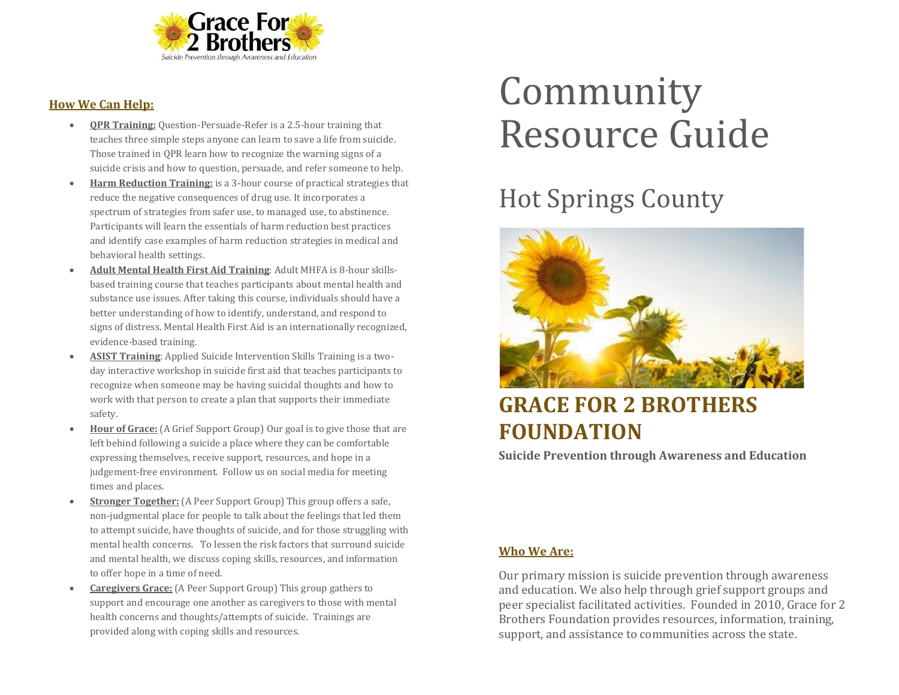

#### **How We Can Help:**

- **QPR Training:** Question-Persuade-Refer is a 2.5-hour training that teaches three simple steps anyone can learn to save a life from suicide. Those trained in QPR learn how to recognize the warning signs of a suicide crisis and how to question, persuade, and refer someone to help.
- **Harm Reduction Training:** is a 3-hour course of practical strategies that reduce the negative consequences of drug use. It incorporates a spectrum of strategies from safer use, to managed use, to abstinence. Participants will learn the essentials of harm reduction best practices and identify case examples of harm reduction strategies in medical and behavioral health settings.
- **Adult Mental Health First Aid Training**: Adult MHFA is 8-hour skillsbased training course that teaches participants about mental health and substance use issues. After taking this course, individuals should have a better understanding of how to identify, understand, and respond to signs of distress. Mental Health First Aid is an internationally recognized, evidence-based training.
- **ASIST Training**: Applied Suicide Intervention Skills Training is a twoday interactive workshop in suicide first aid that teaches participants to recognize when someone may be having suicidal thoughts and how to work with that person to create a plan that supports their immediate safety.
- **Hour of Grace:** (A Grief Support Group) Our goal is to give those that are left behind following a suicide a place where they can be comfortable expressing themselves, receive support, resources, and hope in a judgement-free environment. Follow us on social media for meeting times and places.
- **Stronger Together:** (A Peer Support Group) This group offers a safe, non-judgmental place for people to talk about the feelings that led them to attempt suicide, have thoughts of suicide, and for those struggling with mental health concerns. To lessen the risk factors that surround suicide and mental health, we discuss coping skills, resources, and information to offer hope in a time of need.
- **Caregivers Grace:** (A Peer Support Group) This group gathers to support and encourage one another as caregivers to those with mental health concerns and thoughts/attempts of suicide. Trainings are provided along with coping skills and resources.

# Community Resource Guide

## Hot Springs County



### **GRACE FOR 2 BROTHERS FOUNDATION**

**Suicide Prevention through Awareness and Education**

#### **Who We Are:**

Our primary mission is suicide prevention through awareness and education. We also help through grief support groups and peer specialist facilitated activities. Founded in 2010, Grace for 2 Brothers Foundation provides resources, information, training, support, and assistance to communities across the state.